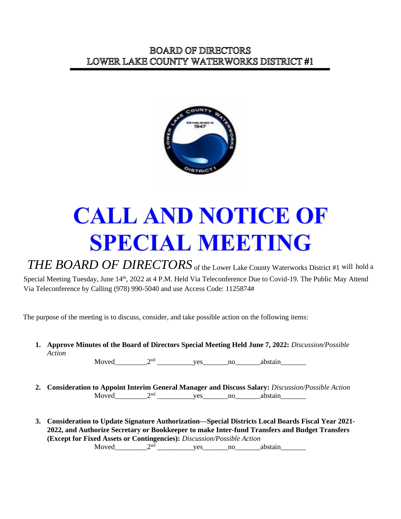

## **CALL AND NOTICE OF SPECIAL MEETING**

*THE BOARD OF DIRECTORS* of the Lower Lake County Waterworks District #1 will hold a Special Meeting Tuesday, June 14<sup>th</sup>, 2022 at 4 P.M. Held Via Teleconference Due to Covid-19. The Public May Attend Via Teleconference by Calling (978) 990-5040 and use Access Code: 1125874#

The purpose of the meeting is to discuss, consider, and take possible action on the following items:

**1. Approve Minutes of the Board of Directors Special Meeting Held June 7, 2022:** *Discussion/Possible Action*

Moved  $2<sup>nd</sup>$  ves no abstain

- **2. Consideration to Appoint Interim General Manager and Discuss Salary:** *Discussion/Possible Action* Moved\_\_\_\_\_\_\_\_\_2nd \_\_\_\_\_\_\_\_\_\_yes\_\_\_\_\_\_\_no\_\_\_\_\_\_\_abstain\_\_\_\_\_\_\_
- **3. Consideration to Update Signature Authorization—Special Districts Local Boards Fiscal Year 2021- 2022, and Authorize Secretary or Bookkeeper to make Inter-fund Transfers and Budget Transfers (Except for Fixed Assets or Contingencies):** *Discussion/Possible Action* Moved\_\_\_\_\_\_\_\_\_2nd \_\_\_\_\_\_\_\_\_\_yes\_\_\_\_\_\_\_no\_\_\_\_\_\_\_abstain\_\_\_\_\_\_\_